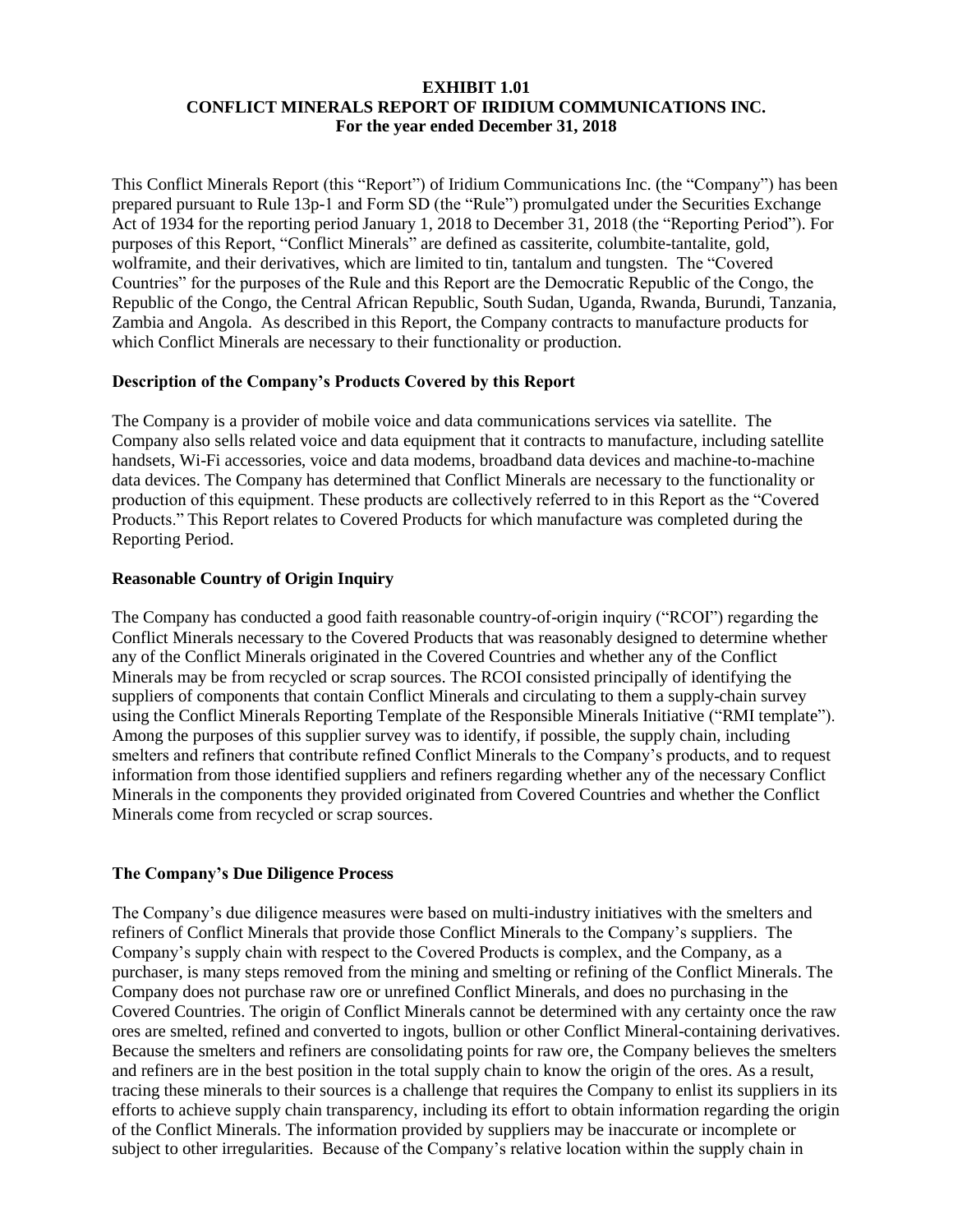#### **EXHIBIT 1.01 CONFLICT MINERALS REPORT OF IRIDIUM COMMUNICATIONS INC. For the year ended December 31, 2018**

This Conflict Minerals Report (this "Report") of Iridium Communications Inc. (the "Company") has been prepared pursuant to Rule 13p-1 and Form SD (the "Rule") promulgated under the Securities Exchange Act of 1934 for the reporting period January 1, 2018 to December 31, 2018 (the "Reporting Period"). For purposes of this Report, "Conflict Minerals" are defined as cassiterite, columbite-tantalite, gold, wolframite, and their derivatives, which are limited to tin, tantalum and tungsten. The "Covered Countries" for the purposes of the Rule and this Report are the Democratic Republic of the Congo, the Republic of the Congo, the Central African Republic, South Sudan, Uganda, Rwanda, Burundi, Tanzania, Zambia and Angola. As described in this Report, the Company contracts to manufacture products for which Conflict Minerals are necessary to their functionality or production.

#### **Description of the Company's Products Covered by this Report**

The Company is a provider of mobile voice and data communications services via satellite. The Company also sells related voice and data equipment that it contracts to manufacture, including satellite handsets, Wi-Fi accessories, voice and data modems, broadband data devices and machine-to-machine data devices. The Company has determined that Conflict Minerals are necessary to the functionality or production of this equipment. These products are collectively referred to in this Report as the "Covered Products." This Report relates to Covered Products for which manufacture was completed during the Reporting Period.

## **Reasonable Country of Origin Inquiry**

The Company has conducted a good faith reasonable country-of-origin inquiry ("RCOI") regarding the Conflict Minerals necessary to the Covered Products that was reasonably designed to determine whether any of the Conflict Minerals originated in the Covered Countries and whether any of the Conflict Minerals may be from recycled or scrap sources. The RCOI consisted principally of identifying the suppliers of components that contain Conflict Minerals and circulating to them a supply-chain survey using the Conflict Minerals Reporting Template of the Responsible Minerals Initiative ("RMI template"). Among the purposes of this supplier survey was to identify, if possible, the supply chain, including smelters and refiners that contribute refined Conflict Minerals to the Company's products, and to request information from those identified suppliers and refiners regarding whether any of the necessary Conflict Minerals in the components they provided originated from Covered Countries and whether the Conflict Minerals come from recycled or scrap sources.

#### **The Company's Due Diligence Process**

The Company's due diligence measures were based on multi-industry initiatives with the smelters and refiners of Conflict Minerals that provide those Conflict Minerals to the Company's suppliers. The Company's supply chain with respect to the Covered Products is complex, and the Company, as a purchaser, is many steps removed from the mining and smelting or refining of the Conflict Minerals. The Company does not purchase raw ore or unrefined Conflict Minerals, and does no purchasing in the Covered Countries. The origin of Conflict Minerals cannot be determined with any certainty once the raw ores are smelted, refined and converted to ingots, bullion or other Conflict Mineral-containing derivatives. Because the smelters and refiners are consolidating points for raw ore, the Company believes the smelters and refiners are in the best position in the total supply chain to know the origin of the ores. As a result, tracing these minerals to their sources is a challenge that requires the Company to enlist its suppliers in its efforts to achieve supply chain transparency, including its effort to obtain information regarding the origin of the Conflict Minerals. The information provided by suppliers may be inaccurate or incomplete or subject to other irregularities. Because of the Company's relative location within the supply chain in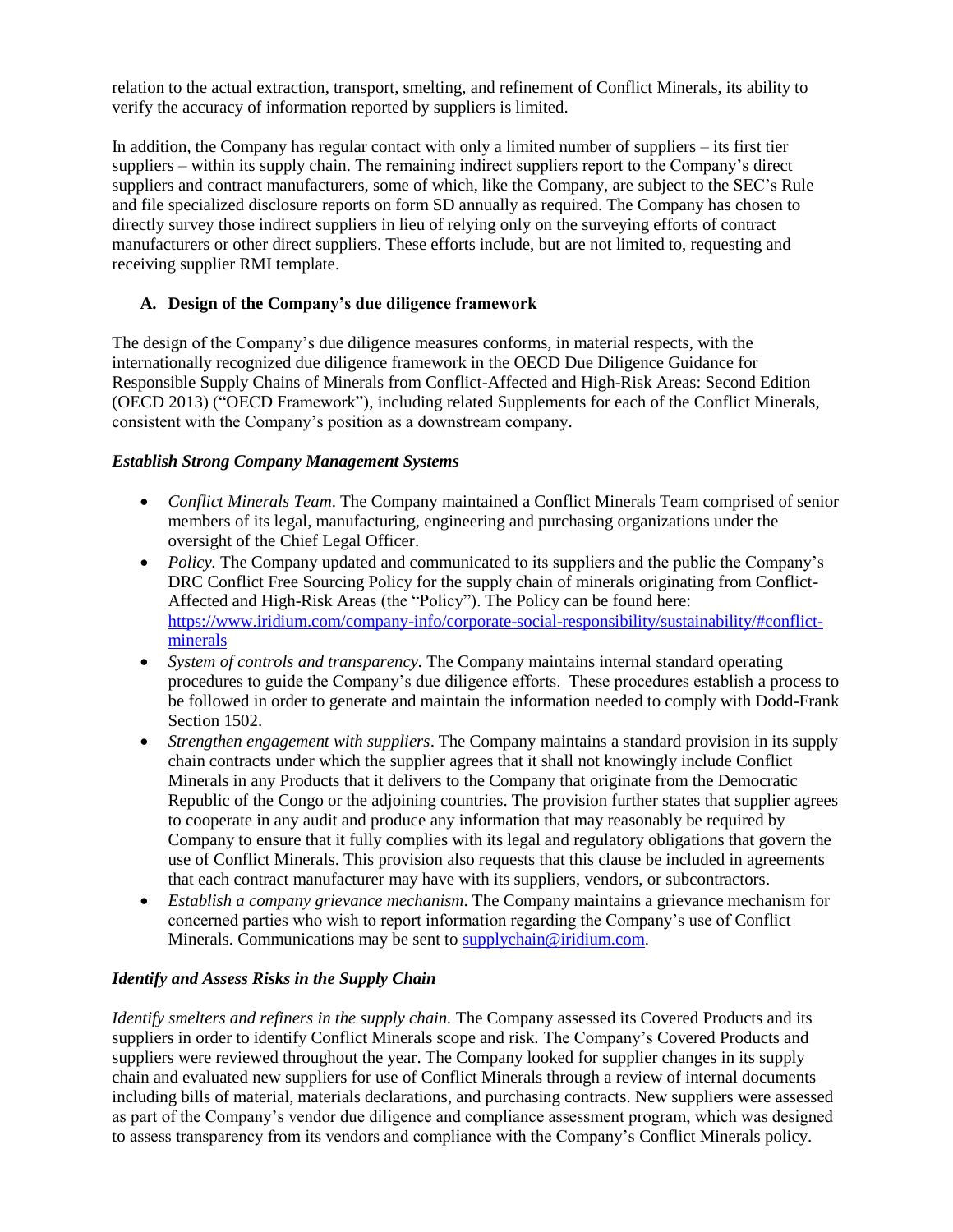relation to the actual extraction, transport, smelting, and refinement of Conflict Minerals, its ability to verify the accuracy of information reported by suppliers is limited.

In addition, the Company has regular contact with only a limited number of suppliers – its first tier suppliers – within its supply chain. The remaining indirect suppliers report to the Company's direct suppliers and contract manufacturers, some of which, like the Company, are subject to the SEC's Rule and file specialized disclosure reports on form SD annually as required. The Company has chosen to directly survey those indirect suppliers in lieu of relying only on the surveying efforts of contract manufacturers or other direct suppliers. These efforts include, but are not limited to, requesting and receiving supplier RMI template.

## **A. Design of the Company's due diligence framework**

The design of the Company's due diligence measures conforms, in material respects, with the internationally recognized due diligence framework in the OECD Due Diligence Guidance for Responsible Supply Chains of Minerals from Conflict-Affected and High-Risk Areas: Second Edition (OECD 2013) ("OECD Framework"), including related Supplements for each of the Conflict Minerals, consistent with the Company's position as a downstream company.

#### *Establish Strong Company Management Systems*

- *Conflict Minerals Team*. The Company maintained a Conflict Minerals Team comprised of senior members of its legal, manufacturing, engineering and purchasing organizations under the oversight of the Chief Legal Officer.
- *Policy*. The Company updated and communicated to its suppliers and the public the Company's DRC Conflict Free Sourcing Policy for the supply chain of minerals originating from Conflict-Affected and High-Risk Areas (the "Policy"). The Policy can be found here: [https://www.iridium.com/company-info/corporate-social-responsibility/sustainability/#conflict](https://www.iridium.com/company-info/corporate-social-responsibility/sustainability/#conflict-minerals)[minerals](https://www.iridium.com/company-info/corporate-social-responsibility/sustainability/#conflict-minerals)
- *System of controls and transparency.* The Company maintains internal standard operating procedures to guide the Company's due diligence efforts. These procedures establish a process to be followed in order to generate and maintain the information needed to comply with Dodd-Frank Section 1502.
- *Strengthen engagement with suppliers*. The Company maintains a standard provision in its supply chain contracts under which the supplier agrees that it shall not knowingly include Conflict Minerals in any Products that it delivers to the Company that originate from the Democratic Republic of the Congo or the adjoining countries. The provision further states that supplier agrees to cooperate in any audit and produce any information that may reasonably be required by Company to ensure that it fully complies with its legal and regulatory obligations that govern the use of Conflict Minerals. This provision also requests that this clause be included in agreements that each contract manufacturer may have with its suppliers, vendors, or subcontractors.
- *Establish a company grievance mechanism*. The Company maintains a grievance mechanism for concerned parties who wish to report information regarding the Company's use of Conflict Minerals. Communications may be sent to [supplychain@iridium.com.](mailto:supplychain@iridium.com)

# *Identify and Assess Risks in the Supply Chain*

*Identify smelters and refiners in the supply chain.* The Company assessed its Covered Products and its suppliers in order to identify Conflict Minerals scope and risk. The Company's Covered Products and suppliers were reviewed throughout the year. The Company looked for supplier changes in its supply chain and evaluated new suppliers for use of Conflict Minerals through a review of internal documents including bills of material, materials declarations, and purchasing contracts. New suppliers were assessed as part of the Company's vendor due diligence and compliance assessment program, which was designed to assess transparency from its vendors and compliance with the Company's Conflict Minerals policy.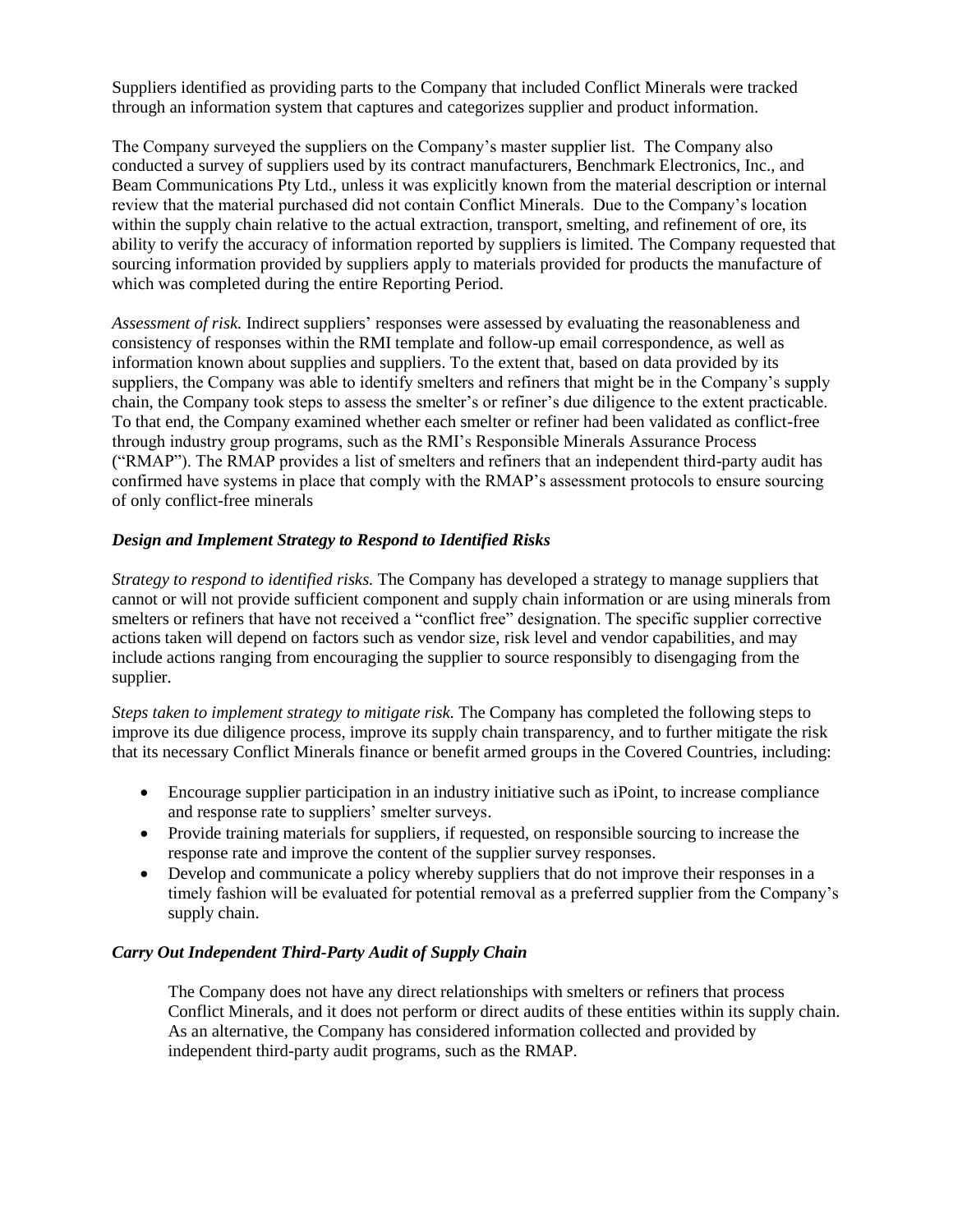Suppliers identified as providing parts to the Company that included Conflict Minerals were tracked through an information system that captures and categorizes supplier and product information.

The Company surveyed the suppliers on the Company's master supplier list. The Company also conducted a survey of suppliers used by its contract manufacturers, Benchmark Electronics, Inc., and Beam Communications Pty Ltd., unless it was explicitly known from the material description or internal review that the material purchased did not contain Conflict Minerals. Due to the Company's location within the supply chain relative to the actual extraction, transport, smelting, and refinement of ore, its ability to verify the accuracy of information reported by suppliers is limited. The Company requested that sourcing information provided by suppliers apply to materials provided for products the manufacture of which was completed during the entire Reporting Period.

*Assessment of risk.* Indirect suppliers' responses were assessed by evaluating the reasonableness and consistency of responses within the RMI template and follow-up email correspondence, as well as information known about supplies and suppliers. To the extent that, based on data provided by its suppliers, the Company was able to identify smelters and refiners that might be in the Company's supply chain, the Company took steps to assess the smelter's or refiner's due diligence to the extent practicable. To that end, the Company examined whether each smelter or refiner had been validated as conflict-free through industry group programs, such as the RMI's Responsible Minerals Assurance Process ("RMAP"). The RMAP provides a list of smelters and refiners that an independent third-party audit has confirmed have systems in place that comply with the RMAP's assessment protocols to ensure sourcing of only conflict-free minerals

## *Design and Implement Strategy to Respond to Identified Risks*

*Strategy to respond to identified risks.* The Company has developed a strategy to manage suppliers that cannot or will not provide sufficient component and supply chain information or are using minerals from smelters or refiners that have not received a "conflict free" designation. The specific supplier corrective actions taken will depend on factors such as vendor size, risk level and vendor capabilities, and may include actions ranging from encouraging the supplier to source responsibly to disengaging from the supplier.

*Steps taken to implement strategy to mitigate risk.* The Company has completed the following steps to improve its due diligence process, improve its supply chain transparency, and to further mitigate the risk that its necessary Conflict Minerals finance or benefit armed groups in the Covered Countries, including:

- Encourage supplier participation in an industry initiative such as iPoint, to increase compliance and response rate to suppliers' smelter surveys.
- Provide training materials for suppliers, if requested, on responsible sourcing to increase the response rate and improve the content of the supplier survey responses.
- Develop and communicate a policy whereby suppliers that do not improve their responses in a timely fashion will be evaluated for potential removal as a preferred supplier from the Company's supply chain.

#### *Carry Out Independent Third-Party Audit of Supply Chain*

The Company does not have any direct relationships with smelters or refiners that process Conflict Minerals, and it does not perform or direct audits of these entities within its supply chain. As an alternative, the Company has considered information collected and provided by independent third-party audit programs, such as the RMAP.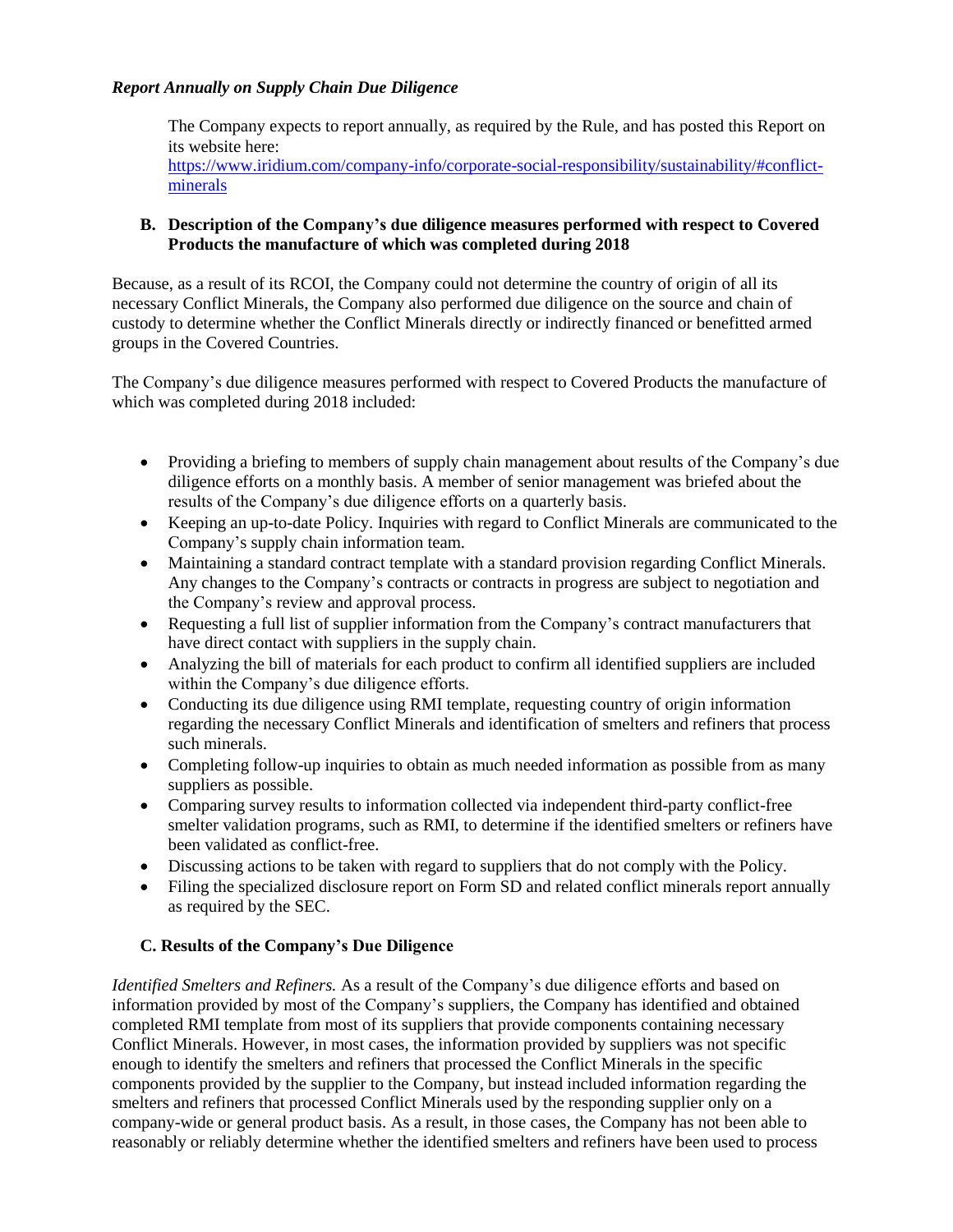## *Report Annually on Supply Chain Due Diligence*

The Company expects to report annually, as required by the Rule, and has posted this Report on its website here:

[https://www.iridium.com/company-info/corporate-social-responsibility/sustainability/#conflict](https://www.iridium.com/company-info/corporate-social-responsibility/sustainability/#conflict-minerals)[minerals](https://www.iridium.com/company-info/corporate-social-responsibility/sustainability/#conflict-minerals)

### **B. Description of the Company's due diligence measures performed with respect to Covered Products the manufacture of which was completed during 2018**

Because, as a result of its RCOI, the Company could not determine the country of origin of all its necessary Conflict Minerals, the Company also performed due diligence on the source and chain of custody to determine whether the Conflict Minerals directly or indirectly financed or benefitted armed groups in the Covered Countries.

The Company's due diligence measures performed with respect to Covered Products the manufacture of which was completed during 2018 included:

- Providing a briefing to members of supply chain management about results of the Company's due diligence efforts on a monthly basis. A member of senior management was briefed about the results of the Company's due diligence efforts on a quarterly basis.
- Keeping an up-to-date Policy. Inquiries with regard to Conflict Minerals are communicated to the Company's supply chain information team.
- Maintaining a standard contract template with a standard provision regarding Conflict Minerals. Any changes to the Company's contracts or contracts in progress are subject to negotiation and the Company's review and approval process.
- Requesting a full list of supplier information from the Company's contract manufacturers that have direct contact with suppliers in the supply chain.
- Analyzing the bill of materials for each product to confirm all identified suppliers are included within the Company's due diligence efforts.
- Conducting its due diligence using RMI template, requesting country of origin information regarding the necessary Conflict Minerals and identification of smelters and refiners that process such minerals.
- Completing follow-up inquiries to obtain as much needed information as possible from as many suppliers as possible.
- Comparing survey results to information collected via independent third-party conflict-free smelter validation programs, such as RMI, to determine if the identified smelters or refiners have been validated as conflict-free.
- Discussing actions to be taken with regard to suppliers that do not comply with the Policy.
- Filing the specialized disclosure report on Form SD and related conflict minerals report annually as required by the SEC.

# **C. Results of the Company's Due Diligence**

*Identified Smelters and Refiners.* As a result of the Company's due diligence efforts and based on information provided by most of the Company's suppliers, the Company has identified and obtained completed RMI template from most of its suppliers that provide components containing necessary Conflict Minerals. However, in most cases, the information provided by suppliers was not specific enough to identify the smelters and refiners that processed the Conflict Minerals in the specific components provided by the supplier to the Company, but instead included information regarding the smelters and refiners that processed Conflict Minerals used by the responding supplier only on a company-wide or general product basis. As a result, in those cases, the Company has not been able to reasonably or reliably determine whether the identified smelters and refiners have been used to process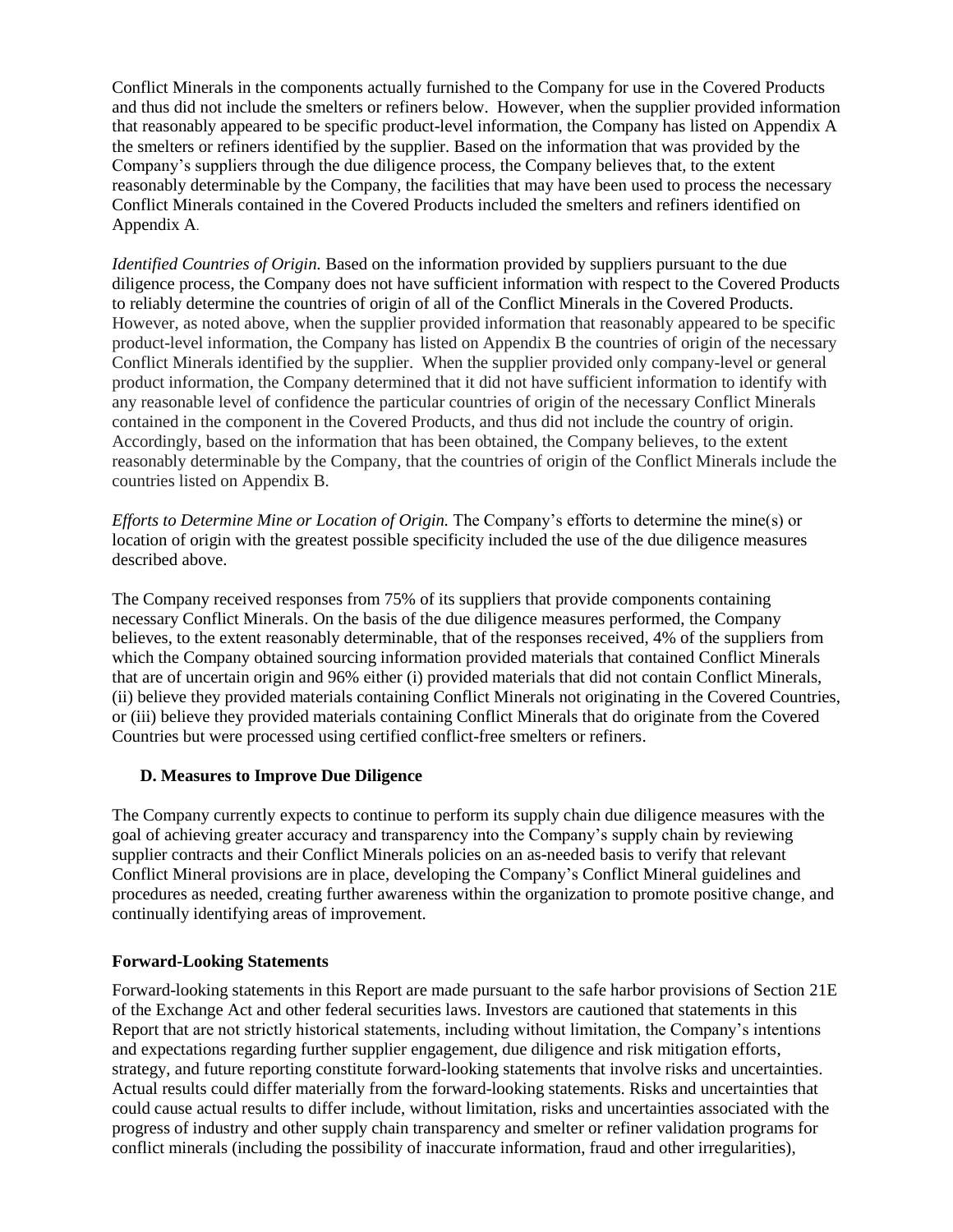Conflict Minerals in the components actually furnished to the Company for use in the Covered Products and thus did not include the smelters or refiners below. However, when the supplier provided information that reasonably appeared to be specific product-level information, the Company has listed on Appendix A the smelters or refiners identified by the supplier. Based on the information that was provided by the Company's suppliers through the due diligence process, the Company believes that, to the extent reasonably determinable by the Company, the facilities that may have been used to process the necessary Conflict Minerals contained in the Covered Products included the smelters and refiners identified on Appendix A.

*Identified Countries of Origin.* Based on the information provided by suppliers pursuant to the due diligence process, the Company does not have sufficient information with respect to the Covered Products to reliably determine the countries of origin of all of the Conflict Minerals in the Covered Products. However, as noted above, when the supplier provided information that reasonably appeared to be specific product-level information, the Company has listed on Appendix B the countries of origin of the necessary Conflict Minerals identified by the supplier. When the supplier provided only company-level or general product information, the Company determined that it did not have sufficient information to identify with any reasonable level of confidence the particular countries of origin of the necessary Conflict Minerals contained in the component in the Covered Products, and thus did not include the country of origin. Accordingly, based on the information that has been obtained, the Company believes, to the extent reasonably determinable by the Company, that the countries of origin of the Conflict Minerals include the countries listed on Appendix B.

*Efforts to Determine Mine or Location of Origin.* The Company's efforts to determine the mine(s) or location of origin with the greatest possible specificity included the use of the due diligence measures described above.

The Company received responses from 75% of its suppliers that provide components containing necessary Conflict Minerals. On the basis of the due diligence measures performed, the Company believes, to the extent reasonably determinable, that of the responses received, 4% of the suppliers from which the Company obtained sourcing information provided materials that contained Conflict Minerals that are of uncertain origin and 96% either (i) provided materials that did not contain Conflict Minerals, (ii) believe they provided materials containing Conflict Minerals not originating in the Covered Countries, or (iii) believe they provided materials containing Conflict Minerals that do originate from the Covered Countries but were processed using certified conflict-free smelters or refiners.

#### **D. Measures to Improve Due Diligence**

The Company currently expects to continue to perform its supply chain due diligence measures with the goal of achieving greater accuracy and transparency into the Company's supply chain by reviewing supplier contracts and their Conflict Minerals policies on an as-needed basis to verify that relevant Conflict Mineral provisions are in place, developing the Company's Conflict Mineral guidelines and procedures as needed, creating further awareness within the organization to promote positive change, and continually identifying areas of improvement.

# **Forward-Looking Statements**

Forward-looking statements in this Report are made pursuant to the safe harbor provisions of Section 21E of the Exchange Act and other federal securities laws. Investors are cautioned that statements in this Report that are not strictly historical statements, including without limitation, the Company's intentions and expectations regarding further supplier engagement, due diligence and risk mitigation efforts, strategy, and future reporting constitute forward-looking statements that involve risks and uncertainties. Actual results could differ materially from the forward-looking statements. Risks and uncertainties that could cause actual results to differ include, without limitation, risks and uncertainties associated with the progress of industry and other supply chain transparency and smelter or refiner validation programs for conflict minerals (including the possibility of inaccurate information, fraud and other irregularities),